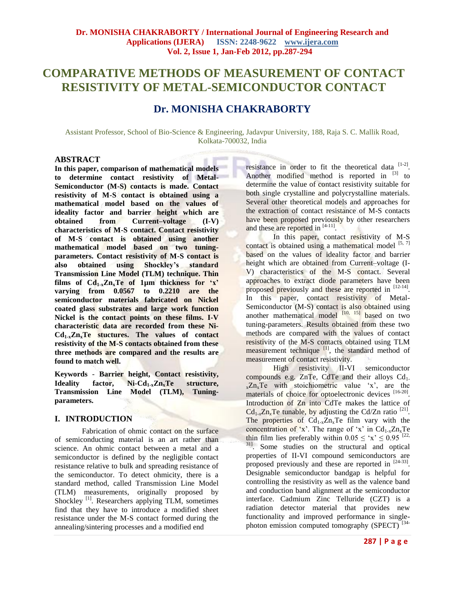# **COMPARATIVE METHODS OF MEASUREMENT OF CONTACT RESISTIVITY OF METAL-SEMICONDUCTOR CONTACT**

## **Dr. MONISHA CHAKRABORTY**

Assistant Professor, School of Bio-Science & Engineering, Jadavpur University, 188, Raja S. C. Mallik Road, Kolkata-700032, India

## **ABSTRACT**

**In this paper, comparison of mathematical models to determine contact resistivity of Metal-Semiconductor (M-S) contacts is made. Contact resistivity of M-S contact is obtained using a mathematical model based on the values of ideality factor and barrier height which are obtained from Current–voltage (I-V) characteristics of M-S contact. Contact resistivity of M-S contact is obtained using another mathematical model based on two tuningparameters. Contact resistivity of M-S contact is also obtained using Shockley's standard Transmission Line Model (TLM) technique. Thin**  films of  $Cd_{1-x}Zn_xTe$  of 1 $\mu$ m thickness for 'x' **varying from 0.0567 to 0.2210 are the semiconductor materials fabricated on Nickel coated glass substrates and large work function Nickel is the contact points on these films. I-V characteristic data are recorded from these Ni-Cd1-xZnxTe stuctures. The values of contact resistivity of the M-S contacts obtained from these three methods are compared and the results are found to match well.**

**Keywords** *-* **Barrier height, Contact resistivity, Ideality factor, Ni-Cd1-xZnxTe structure, Transmission Line Model (TLM), Tuningparameters.**

## **I. INTRODUCTION**

Fabrication of ohmic contact on the surface of semiconducting material is an art rather than science. An ohmic contact between a metal and a semiconductor is defined by the negligible contact resistance relative to bulk and spreading resistance of the semiconductor. To detect ohmicity, there is a standard method, called Transmission Line Model (TLM) measurements, originally proposed by Shockley<sup>[1]</sup>. Researchers applying TLM, sometimes find that they have to introduce a modified sheet resistance under the M-S contact formed during the annealing/sintering processes and a modified end

resistance in order to fit the theoretical data  $[1-2]$ . Another modified method is reported in  $[3]$  to determine the value of contact resistivity suitable for both single crystalline and polycrystalline materials. Several other theoretical models and approaches for the extraction of contact resistance of M-S contacts have been proposed previously by other researchers and these are reported in [4-11].

In this paper, contact resistivity of M-S contact is obtained using a mathematical model  $[5, 7]$ based on the values of ideality factor and barrier height which are obtained from Current–voltage (I-V) characteristics of the M-S contact. Several approaches to extract diode parameters have been proposed previously and these are reported in [12-14]. In this paper, contact resistivity of Metal-Semiconductor (M-S) contact is also obtained using another mathematical model  $[10, 15]$  based on two tuning-parameters. Results obtained from these two methods are compared with the values of contact resistivity of the M-S contacts obtained using TLM measurement technique <sup>[1]</sup>, the standard method of measurement of contact resistivity.

High resistivity II-VI semiconductor compounds e.g. ZnTe, CdTe and their alloys  $Cd<sub>1</sub>$ .  $x^Z n_x T e$  with stoichiometric value 'x', are the materials of choice for optoelectronic devices [16-20]. Introduction of Zn into CdTe makes the lattice of  $Cd_{1-x}Zn_xTe$  tunable, by adjusting the Cd/Zn ratio <sup>[21]</sup>. The properties of  $Cd<sub>1-x</sub>Zn<sub>x</sub>Te$  film vary with the concentration of 'x'. The range of 'x' in  $Cd_{1-x}Zn_xTe$ thin film lies preferably within  $0.05 \leq x \leq 0.95$  [22, 31] . Some studies on the structural and optical properties of II-VI compound semiconductors are proposed previously and these are reported in  $[24-33]$ . Designable semiconductor bandgap is helpful for controlling the resistivity as well as the valence band and conduction band alignment at the semiconductor interface. Cadmium Zinc Telluride (CZT) is a radiation detector material that provides new functionality and improved performance in singlephoton emission computed tomography (SPECT)<sup>[34-</sup>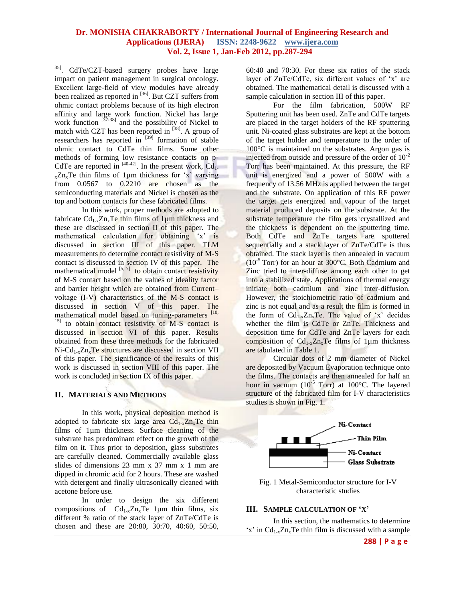35] . CdTe/CZT-based surgery probes have large impact on patient management in surgical oncology. Excellent large-field of view modules have already been realized as reported in <sup>[36]</sup>. But CZT suffers from ohmic contact problems because of its high electron affinity and large work function. Nickel has large work function  $\begin{bmatrix} 37-38 \\ 1 \end{bmatrix}$  and the possibility of Nickel to match with CZT has been reported in  $^{[38]}$ . A group of researchers has reported in  $^{[39]}$  formation of stable ohmic contact to CdTe thin films. Some other methods of forming low resistance contacts on p-CdTe are reported in  $[40-42]$ . In the present work, Cd<sub>1</sub>.  $_{x}Zn_{x}Te$  thin films of 1µm thickness for 'x' varying from 0.0567 to 0.2210 are chosen as the semiconducting materials and Nickel is chosen as the top and bottom contacts for these fabricated films.

In this work, proper methods are adopted to fabricate  $Cd_1$ ,  $Zn$ , Te thin films of 1um thickness and these are discussed in section II of this paper. The mathematical calculation for obtaining 'x' is discussed in section III of this paper. TLM measurements to determine contact resistivity of M-S contact is discussed in section IV of this paper. The mathematical model  $\left[5, 7\right]$  to obtain contact resistivity of M-S contact based on the values of ideality factor and barrier height which are obtained from Current– voltage (I-V) characteristics of the M-S contact is discussed in section V of this paper. The mathematical model based on tuning-parameters [10, <sup>15]</sup> to obtain contact resistivity of M-S contact is discussed in section VI of this paper. Results obtained from these three methods for the fabricated  $Ni\text{-}Cd<sub>1-x</sub>Zn<sub>x</sub>Te$  structures are discussed in section VII of this paper. The significance of the results of this work is discussed in section VIII of this paper. The work is concluded in section IX of this paper.

#### **II. MATERIALS AND METHODS**

In this work, physical deposition method is adopted to fabricate six large area  $Cd<sub>1-x</sub>Zn<sub>x</sub>Te$  thin films of 1µm thickness. Surface cleaning of the substrate has predominant effect on the growth of the film on it. Thus prior to deposition, glass substrates are carefully cleaned. Commercially available glass slides of dimensions 23 mm x 37 mm x 1 mm are dipped in chromic acid for 2 hours. These are washed with detergent and finally ultrasonically cleaned with acetone before use.

 In order to design the six different compositions of  $Cd_{1-x}Zn_xTe$  1µm thin films, six different % ratio of the stack layer of ZnTe/CdTe is chosen and these are 20:80, 30:70, 40:60, 50:50,

60:40 and 70:30. For these six ratios of the stack layer of ZnTe/CdTe, six different values of 'x' are obtained. The mathematical detail is discussed with a sample calculation in section III of this paper.

For the film fabrication, 500W RF Sputtering unit has been used. ZnTe and CdTe targets are placed in the target holders of the RF sputtering unit. Ni-coated glass substrates are kept at the bottom of the target holder and temperature to the order of  $100^{\circ}$ C is maintained on the substrates. Argon gas is injected from outside and pressure of the order of  $10^{-2}$ Torr has been maintained. At this pressure, the RF unit is energized and a power of 500W with a frequency of 13.56 MHz is applied between the target and the substrate. On application of this RF power the target gets energized and vapour of the target material produced deposits on the substrate. At the substrate temperature the film gets crystallized and the thickness is dependent on the sputtering time. Both CdTe and ZnTe targets are sputtered sequentially and a stack layer of ZnTe/CdTe is thus obtained. The stack layer is then annealed in vacuum  $(10^{-5}$  Torr) for an hour at 300 $^{\circ}$ C. Both Cadmium and Zinc tried to inter-diffuse among each other to get into a stabilized state. Applications of thermal energy initiate both cadmium and zinc inter-diffusion. However, the stoichiometric ratio of cadmium and zinc is not equal and as a result the film is formed in the form of  $Cd_{1-x}Zn_xTe$ . The value of 'x' decides whether the film is CdTe or ZnTe. Thickness and deposition time for CdTe and ZnTe layers for each composition of  $Cd_{1-x}Zn_xTe$  films of 1µm thickness are tabulated in Table 1.

Circular dots of 2 mm diameter of Nickel are deposited by Vacuum Evaporation technique onto the films. The contacts are then annealed for half an hour in vacuum  $(10^{-5}$  Torr) at  $100^{\circ}$ C. The layered structure of the fabricated film for I-V characteristics studies is shown in Fig. 1.



Fig. 1 Metal-Semiconductor structure for I-V characteristic studies

#### **III. SAMPLE CALCULATION OF 'X'**

In this section, the mathematics to determine 'x' in  $Cd_{1-x}Zn_xTe$  thin film is discussed with a sample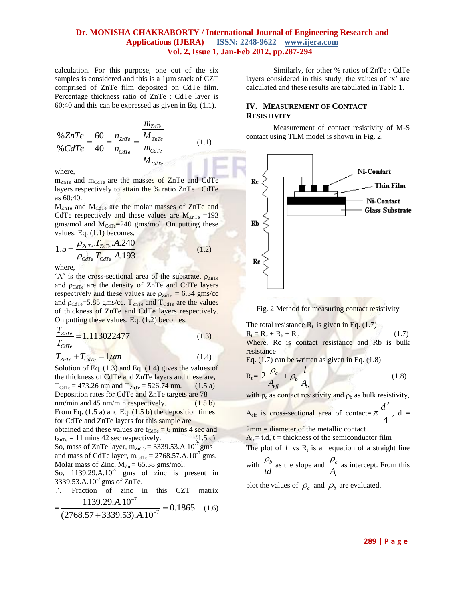calculation. For this purpose, one out of the six samples is considered and this is a 1µm stack of CZT comprised of ZnTe film deposited on CdTe film. Percentage thickness ratio of ZnTe : CdTe layer is 60:40 and this can be expressed as given in Eq. (1.1).

$$
\frac{\% ZnTe}{\% CdTe} = \frac{60}{40} = \frac{n_{ZnTe}}{n_{CdTe}} = \frac{\frac{m_{ZnTe}}{M_{ZnTe}}}{\frac{m_{CdTe}}{M_{CdTe}}} \tag{1.1}
$$

where,

m<sub>ZnTe</sub> and m<sub>CdTe</sub> are the masses of ZnTe and CdTe layers respectively to attain the % ratio ZnTe : CdTe as 60:40.

 $M_{ZnTe}$  and  $M_{CdTe}$  are the molar masses of ZnTe and CdTe respectively and these values are  $M_{ZnTe}$  =193 gms/mol and  $M_{\text{CdTe}} = 240$  gms/mol. On putting these

values, Eq. (1.1) becomes,  
\n
$$
1.5 = \frac{\rho_{ZnTe} T_{ZnTe} A.240}{\rho_{care} T_{care} A.193}
$$
\n(1.2)

where,

'A' is the cross-sectional area of the substrate.  $\rho_{ZnTe}$ and  $\rho_{\text{CdTe}}$  are the density of ZnTe and CdTe layers respectively and these values are  $\rho_{ZnTe} = 6.34$  gms/cc and  $\rho_{\text{CdTe}} = 5.85$  gms/cc.  $T_{\text{ZnTe}}$  and  $T_{\text{CdTe}}$  are the values of thickness of ZnTe and CdTe layers respectively. On putting these values, Eq. (1.2) becomes,

$$
\frac{T_{ZnTe}}{T_{CdTe}} = 1.113022477
$$
\n(1.3)

 $T_{ZnTe} + T_{CdTe} = 1 \mu m$  (1.4) Solution of Eq. (1.3) and Eq. (1.4) gives the values of the thickness of CdTe and ZnTe layers and these are,  $T_{\text{CdTe}} = 473.26 \text{ nm}$  and  $T_{\text{ZnTe}} = 526.74 \text{ nm}.$  (1.5 a) Deposition rates for CdTe and ZnTe targets are 78 nm/min and  $45 \text{ nm/min}$  respectively. (1.5 b) From Eq.  $(1.5 a)$  and Eq.  $(1.5 b)$  the deposition times for CdTe and ZnTe layers for this sample are obtained and these values are  $t_{\text{CdTe}} = 6$  mins 4 sec and  $t_{ZnTe} = 11$  mins 42 sec respectively. (1.5 c) So, mass of ZnTe layer,  $m_{ZnTe} = 3339.53.A.10^{-7}$  gms and mass of CdTe layer,  $m_{\text{CdTe}} = 2768.57 \cdot \text{A} \cdot 10^{-7} \text{ gms}.$ Molar mass of Zinc,  $M_{Zn} = 65.38$  gms/mol.

So,  $1139.29 \text{A} \cdot 10^{-7}$  gms of zinc is present in 3339.53.A.10<sup>-7</sup> gms of ZnTe.

 $\ddot{\phantom{a}}$ Fraction of zinc in this CZT matrix<br>  $\frac{1139.29 \cdot A \cdot 10^{-7}}{256.229 \cdot 250 \cdot 110^{-7}} = 0.1865$  (1.6)

$$
=\frac{1139.29.A.10^{-7}}{(2768.57+3339.53).A.10^{-7}}=0.1865
$$
 (1.6)

Similarly, for other % ratios of ZnTe : CdTe layers considered in this study, the values of 'x' are calculated and these results are tabulated in Table 1.

## **IV. MEASUREMENT OF CONTACT RESISTIVITY**

Measurement of contact resistivity of M-S contact using TLM model is shown in Fig. 2.



Fig. 2 Method for measuring contact resistivity

The total resistance  $R_t$  is given in Eq. (1.7)  $R_t = R_c + R_b + R_c$  (1.7) Where, Rc is contact resistance and Rb is bulk

resistance

Eq.  $(1.7)$  can be written as given in Eq.  $(1.8)$ 

$$
R_t = 2\frac{\rho_c}{A_{eff}} + \rho_b \frac{l}{A_b}
$$
 (1.8)

with  $\rho_c$  as contact resistivity and  $\rho_b$  as bulk resistivity,

Aeff is cross-sectional area of contact= 2 4  $\pi \frac{d^2}{dx^2}$ , d =

2mm = diameter of the metallic contact

 $A_b = t.d$ ,  $t =$  thickness of the semiconductor film

The plot of  $l$  vs  $R_t$  is an equation of a straight line

with  $\frac{\mu_b}{\sigma_b}$ *td*  $\frac{\rho_b}{\rho_a}$  as the slope and  $\frac{\rho_c}{\rho_a}$ *A c*  $\frac{\rho_c}{\rho}$  as intercept. From this

plot the values of  $\rho_c$  and  $\rho_b$  are evaluated.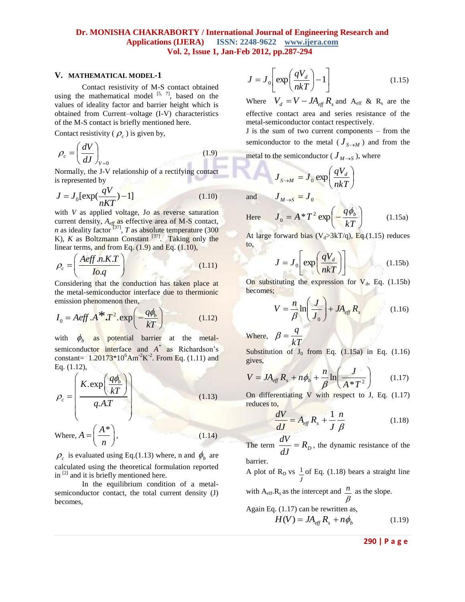#### **V. MATHEMATICAL MODEL-1**

Contact resistivity of M-S contact obtained using the mathematical model  $[5, 7]$ , based on the values of ideality factor and barrier height which is obtained from Current–voltage (I-V) characteristics of the M-S contact is briefly mentioned here.

Contact resistivity ( $\rho_c$ ) is given by,

$$
\rho_c = \left(\frac{dV}{dJ}\right)_{V=0} \tag{1.9}
$$

Normally, the J-V relationship of a rectifying contact is represented by

$$
J = J_0 \left[ \exp(\frac{qV}{nKT}) - 1 \right] \tag{1.10}
$$

with *V* as applied voltage, J*o* as reverse saturation current density,  $A_{\text{eff}}$  as effective area of M-S contact, *n* as ideality factor  $[37]$ , *T* as absolute temperature (300) K),  $K$  as Boltzmann Constant  $^{[37]}$ . Taking only the linear terms, and from Eq.  $(1.9)$  and Eq.  $(1.10)$ ,

$$
\rho_c = \left(\frac{A\text{eff} \cdot n.K.T}{Io.q}\right) \tag{1.11}
$$

Considering that the conduction has taken place at the metal-semiconductor interface due to thermionic emission phenomenon then,

emission phenomenon then,  
\n
$$
I_0 = Aeff.A^*T^2.\exp\left(-\frac{q\phi_b}{kT}\right)
$$
\n(1.12)

with  $\phi_b$  as potential barrier at the metalsemiconductor interface and *A \** as Richardson's constant=  $1.20173*10^6$ Am<sup>-2</sup>K<sup>-2</sup>. From Eq. (1.11) and Eq. (1.12),

$$
\rho_c = \left(\frac{K \cdot \exp\left(\frac{q\phi_b}{kT}\right)}{q.A.T}\right)
$$
\nWhere,

\n
$$
A = \left(\frac{A^*}{n}\right),
$$
\n(1.13)

\n(1.14)

 $\rho_c$  is evaluated using Eq.(1.13) where, n and  $\phi_b$  are calculated using the theoretical formulation reported in  $[2]$  and it is briefly mentioned here.

In the equilibrium condition of a metalsemiconductor contact, the total current density (J) becomes,

$$
J = J_0 \left[ \exp\left(\frac{qV_d}{nkT}\right) - 1 \right] \tag{1.15}
$$

Where  $V_d = V - JA_{eff} R_s$  and  $A_{eff} \& R_s$  are the effective contact area and series resistance of the metal-semiconductor contact respectively.

J is the sum of two current components – from the semiconductor to the metal ( $J_{S \to M}$ ) and from the

metal to the semiconductor ( $J_{M\rightarrow S}$ ), where

$$
J_{S \to M} = J_0 \exp\left(\frac{qV_d}{nkT}\right)
$$

and  $J_{M\rightarrow S} = J_0$ 

Here 
$$
J_0 = A * T^2 \exp\left(-\frac{q\phi_b}{kT}\right)
$$
 (1.15a)

At large forward bias ( $V_d > 3kT/q$ ), Eq.(1.15) reduces to,

$$
J = J_0 \left[ \exp\left(\frac{qV_d}{nkT}\right) \right]
$$
 (1.15b)

On substituting the expression for  $V_d$ , Eq. (1.15b) becomes;

$$
V = \frac{n}{\beta} \ln \left( \frac{J}{J_0} \right) + J A_{\text{eff}} R_s \tag{1.16}
$$

Where,  $\beta = \frac{q}{kT}$  $\beta = \frac{q}{\sqrt{q}}$ 

Substitution of  $J_0$  from Eq. (1.15a) in Eq. (1.16) gives,

$$
V = JA_{eff}R_s + n\phi_b + \frac{n}{\beta} \ln\left(\frac{J}{A*T^2}\right) \tag{1.17}
$$

On differentiating V with respect to J, Eq. (1.17) reduces to,

$$
\frac{dV}{dJ} = A_{\text{eff}} R_s + \frac{1}{J} \frac{n}{\beta} \tag{1.18}
$$

The term  $\frac{dv}{dJ} = R_D$  $\frac{dV}{dt} = R_D$ , the dynamic resistance of the barrier.

A plot of  $R_D$  vs *J*  $\frac{1}{2}$  of Eq. (1.18) bears a straight line

with  $A_{eff}$   $R_s$  as the intercept and  $\frac{n}{m}$  as the slope. β

Again Eq. (1.17) can be rewritten as,  
\n
$$
H(V) = JA_{eff} R_s + n\phi_b
$$
\n(1.19)

**290 | P a g e**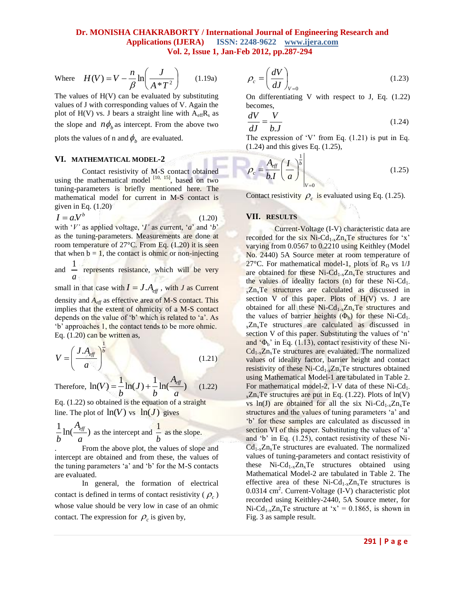Where 
$$
H(V) = V - \frac{n}{\beta} \ln \left( \frac{J}{A * T^2} \right)
$$
 (1.19a)

The values of  $H(V)$  can be evaluated by substituting values of J with corresponding values of V. Again the plot of H(V) vs. J bears a straight line with  $A_{\text{eff}}R_s$  as

the slope and  $n\phi_b$  as intercept. From the above two

plots the values of n and  $\phi_b$  are evaluated.

#### **VI. MATHEMATICAL MODEL-2**

Contact resistivity of M-S contact obtained using the mathematical model  $\begin{bmatrix} 10 & 15 \\ 0 & 15 \end{bmatrix}$ , based on two tuning-parameters is briefly mentioned here. The mathematical model for current in M-S contact is given in Eq. (1.20)

 $I = aV^b$  (1.20)

with '*V'* as applied voltage, '*I'* as current, '*a*' and '*b*' as the tuning-parameters. Measurements are done at room temperature of 27°C. From Eq. (1.20) it is seen that when  $b = 1$ , the contact is ohmic or non-injecting

and  $\frac{1}{1}$ *a* represents resistance, which will be very

small in that case with  $I = J.A_{\text{eff}}$ , with *J* as Current density and *Aeff* as effective area of M-S contact. This implies that the extent of ohmicity of a M-S contact depends on the value of 'b' which is related to 'a'. As 'b' approaches 1, the contact tends to be more ohmic. Eq. (1.20) can be written as,

$$
V = \left(\frac{J.A_{\text{eff}}}{a}\right)^{\frac{1}{b}}
$$
 (1.21)

Therefore,  $\ln(V) = \frac{1}{I} \ln(J) + \frac{1}{I} \ln(\frac{A_{eff}}{I})$  $\frac{1}{b}$ ln(*J*) +  $\frac{1}{b}$ ln( $\frac{eg}{a}$  $=\frac{1}{4}$ ln(*J*) +  $\frac{1}{4}$ ln( $\frac{A_{eff}}{A}$ ) (1.22)

Eq. (1.22) so obtained is the equation of a straight line. The plot of  $ln(V)$  vs  $ln(J)$  gives

$$
\frac{1}{b} \ln(\frac{A_{\text{eff}}}{a})
$$
 as the intercept and  $\frac{1}{b}$  as the slope.

. From the above plot, the values of slope and intercept are obtained and from these, the values of the tuning parameters 'a' and 'b' for the M-S contacts are evaluated.

In general, the formation of electrical contact is defined in terms of contact resistivity  $(\rho_c)$ whose value should be very low in case of an ohmic contact. The expression for  $\rho_c$  is given by,

$$
\rho_c = \left(\frac{dV}{dJ}\right)_{V=0} \tag{1.23}
$$

On differentiating V with respect to J, Eq. (1.22) becomes,

$$
\frac{dV}{dJ} = \frac{V}{b.J} \tag{1.24}
$$

The expression of 'V' from Eq.  $(1.21)$  is put in Eq. (1.24) and this gives Eq. (1.25),

1

$$
\rho_c = \frac{A_{\text{eff}}}{b \cdot I} \left(\frac{I}{a}\right)^{\frac{1}{b}}\Big|_{V=0} \tag{1.25}
$$

Contact resistivity  $\rho_c$  is evaluated using Eq. (1.25).

#### **VII. RESULTS**

 Current-Voltage (I-V) characteristic data are recorded for the six  $Ni - Cd_{1-x}Zn_xTe$  structures for 'x' varying from 0.0567 to 0.2210 using Keithley (Model No. 2440) 5A Source meter at room temperature of 27 $\rm ^oC$ . For mathematical model-1, plots of R<sub>D</sub> vs 1/J are obtained for these  $Ni-Cd_{1-x}Zn_xTe$  structures and the values of ideality factors (n) for these  $Ni-Cd<sub>1</sub>$ . x<sub>z</sub>Zn<sub>x</sub>Te structures are calculated as discussed in section  $V$  of this paper. Plots of  $H(V)$  vs. J are obtained for all these  $Ni-Cd_{1-x}Zn_xTe$  structures and the values of barrier heights  $(\Phi_b)$  for these Ni-Cd<sub>1</sub>. <sup>x</sup>ZnxTe structures are calculated as discussed in section V of this paper. Substituting the values of 'n' and  $\Phi_b$ <sup>'</sup> in Eq. (1.13), contact resistivity of these Ni- $Cd_{1-x}Zn_xTe$  structures are evaluated. The normalized values of ideality factor, barrier height and contact resistivity of these  $Ni-Cd_{1-x}Zn_xTe$  structures obtained using Mathematical Model-1 are tabulated in Table 2. For mathematical model-2, I-V data of these  $Ni-Cd<sub>1</sub>$ .  $_{x}Zn_{x}Te$  structures are put in Eq. (1.22). Plots of ln(V) vs ln(J) are obtained for all the six Ni-Cd<sub>1-x</sub>Zn<sub>x</sub>Te structures and the values of tuning parameters 'a' and 'b' for these samples are calculated as discussed in section VI of this paper. Substituting the values of 'a' and 'b' in Eq. (1.25), contact resistivity of these Ni- $Cd_{1-x}Zn_xTe$  structures are evaluated. The normalized values of tuning-parameters and contact resistivity of these  $Ni\text{-}Cd_{1-x}\text{Zn}_x\text{Te}$  structures obtained using Mathematical Model-2 are tabulated in Table 2. The effective area of these  $Ni-Cd_{1-x}Zn_xTe$  structures is 0.0314 cm<sup>2</sup>. Current-Voltage (I-V) characteristic plot recorded using Keithley-2440, 5A Source meter, for Ni-Cd<sub>1-x</sub>Zn<sub>x</sub>Te structure at 'x' = 0.1865, is shown in Fig. 3 as sample result.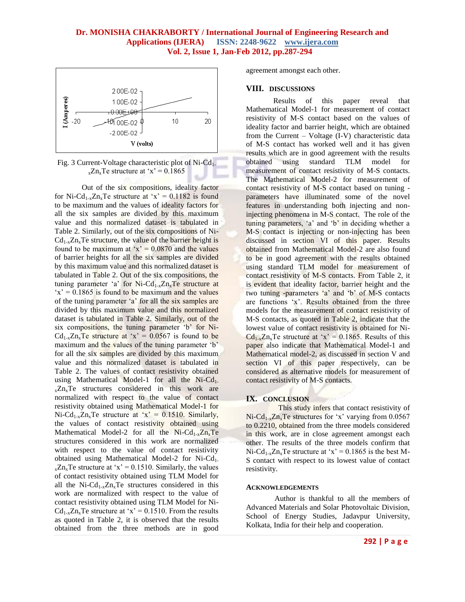



Out of the six compositions, ideality factor for Ni-Cd<sub>1-x</sub>Zn<sub>x</sub>Te structure at 'x' = 0.1182 is found to be maximum and the values of ideality factors for all the six samples are divided by this maximum value and this normalized dataset is tabulated in Table 2. Similarly, out of the six compositions of Ni- $Cd_{1-x}Zn_xTe$  structure, the value of the barrier height is found to be maximum at 'x' =  $0.0870$  and the values of barrier heights for all the six samples are divided by this maximum value and this normalized dataset is tabulated in Table 2. Out of the six compositions, the tuning parameter 'a' for  $Ni-Cd_{1-x}Zn_xTe$  structure at  $x' = 0.1865$  is found to be maximum and the values of the tuning parameter 'a' for all the six samples are divided by this maximum value and this normalized dataset is tabulated in Table 2. Similarly, out of the six compositions, the tuning parameter 'b' for Ni-Cd<sub>1-x</sub>Zn<sub>x</sub>Te structure at 'x' =  $0.0567$  is found to be maximum and the values of the tuning parameter 'b' for all the six samples are divided by this maximum value and this normalized dataset is tabulated in Table 2. The values of contact resistivity obtained using Mathematical Model-1 for all the Ni-Cd<sub>1</sub>.  $_{x}Zn_{x}Te$  structures considered in this work are normalized with respect to the value of contact resistivity obtained using Mathematical Model-1 for Ni-Cd<sub>1-x</sub>Zn<sub>x</sub>Te structure at 'x' = 0.1510. Similarly, the values of contact resistivity obtained using Mathematical Model-2 for all the  $Ni-Cd_{1-x}Zn_xTe$ structures considered in this work are normalized with respect to the value of contact resistivity obtained using Mathematical Model-2 for Ni-Cd<sub>1</sub>.  $_{x}Zn_{x}Te$  structure at 'x' = 0.1510. Similarly, the values of contact resistivity obtained using TLM Model for all the Ni-Cd<sub>1-x</sub>Zn<sub>x</sub>Te structures considered in this work are normalized with respect to the value of contact resistivity obtained using TLM Model for Ni-Cd<sub>1-x</sub>Zn<sub>x</sub>Te structure at 'x' = 0.1510. From the results as quoted in Table 2, it is observed that the results obtained from the three methods are in good

agreement amongst each other.

#### **VIII. DISCUSSIONS**

Results of this paper reveal that Mathematical Model-1 for measurement of contact resistivity of M-S contact based on the values of ideality factor and barrier height, which are obtained from the Current – Voltage (I-V) characteristic data of M-S contact has worked well and it has given results which are in good agreement with the results obtained using standard TLM model for measurement of contact resistivity of M-S contacts. The Mathematical Model-2 for measurement of contact resistivity of M-S contact based on tuning parameters have illuminated some of the novel features in understanding both injecting and noninjecting phenomena in M-S contact. The role of the tuning parameters, 'a' and 'b' in deciding whether a M-S contact is injecting or non-injecting has been discussed in section VI of this paper. Results obtained from Mathematical Model-2 are also found to be in good agreement with the results obtained using standard TLM model for measurement of contact resistivity of M-S contacts. From Table 2, it is evident that ideality factor, barrier height and the two tuning -parameters 'a' and 'b' of M-S contacts are functions 'x'. Results obtained from the three models for the measurement of contact resistivity of M-S contacts, as quoted in Table 2, indicate that the lowest value of contact resistivity is obtained for Ni- $Cd_{1-x}Zn_xTe$  structure at 'x' = 0.1865. Results of this paper also indicate that Mathematical Model-1 and Mathematical model-2, as discussed in section V and section VI of this paper respectively, can be considered as alternative models for measurement of contact resistivity of M-S contacts.

#### **IX. CONCLUSION**

 This study infers that contact resistivity of  $Ni\text{-}Cd<sub>1-x</sub>Zn<sub>x</sub>Te$  structures for 'x' varying from 0.0567 to 0.2210, obtained from the three models considered in this work, are in close agreement amongst each other. The results of the three models confirm that Ni-Cd<sub>1-x</sub>Zn<sub>x</sub>Te structure at 'x' = 0.1865 is the best M-S contact with respect to its lowest value of contact resistivity.

#### **ACKNOWLEDGEMENTS**

 Author is thankful to all the members of Advanced Materials and Solar Photovoltaic Division, School of Energy Studies, Jadavpur University, Kolkata, India for their help and cooperation.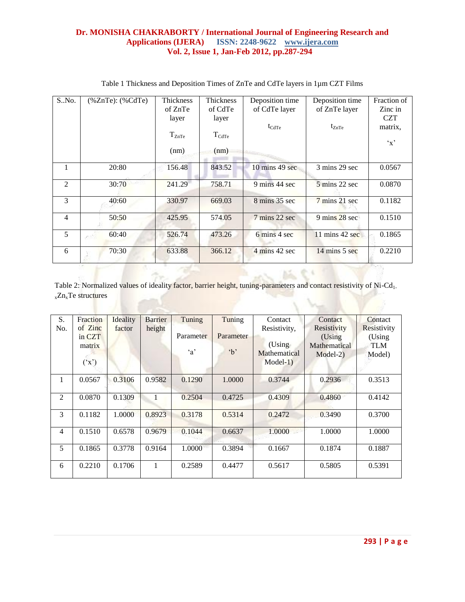| S.No.          | $(%$ (%ZnTe): $(%$ $\&$ CdTe) | Thickness  | <b>Thickness</b>  | Deposition time          | Deposition time                  | Fraction of  |
|----------------|-------------------------------|------------|-------------------|--------------------------|----------------------------------|--------------|
|                |                               | of ZnTe    | of CdTe           | of CdTe layer            | of ZnTe layer                    | Zinc in      |
|                |                               | layer      | layer             |                          |                                  | <b>CZT</b>   |
|                |                               |            |                   | $t_{\text{CdTe}}$        | $t_{ZnTe}$                       | matrix,      |
|                |                               | $T_{ZnTe}$ | $T_{\text{CdTe}}$ |                          |                                  |              |
|                |                               |            |                   |                          |                                  | $\mathbf{x}$ |
|                |                               | (nm)       | (nm)              |                          |                                  |              |
|                |                               |            |                   |                          |                                  |              |
| $\mathbf{1}$   | 20:80                         | 156.48     | 843.52            | $10 \text{ mins}$ 49 sec | 3 mins 29 sec                    | 0.0567       |
|                |                               |            |                   |                          |                                  |              |
| 2              | 30:70                         | 241.29     | 758.71            | 9 mins 44 sec            | $5 \text{ mins } 22 \text{ sec}$ | 0.0870       |
| $\mathcal{E}$  | 40:60                         | 330.97     | 669.03            | 8 mins 35 sec            | $7 \text{ mins } 21 \text{ sec}$ | 0.1182       |
|                |                               |            |                   |                          |                                  |              |
| $\overline{4}$ | 50:50                         | 425.95     | 574.05            | 7 mins 22 sec            | 9 mins 28 sec                    | 0.1510       |
|                |                               |            |                   |                          |                                  |              |
| 5              | 60:40                         | 526.74     | 473.26            | 6 mins 4 sec             | 11 mins 42 sec                   | 0.1865       |
|                |                               |            |                   |                          |                                  |              |
| 6              | 70:30                         | 633.88     | 366.12            | 4 mins 42 sec            | $14 \text{ mins} 5 \text{ sec}$  | 0.2210       |
|                |                               |            |                   |                          |                                  |              |

## Table 1 Thickness and Deposition Times of ZnTe and CdTe layers in 1µm CZT Films

Table 2: Normalized values of ideality factor, barrier height, tuning-parameters and contact resistivity of Ni-Cd<sub>1-</sub> <sup>x</sup>ZnxTe structures

| S.<br>No. | Fraction<br>of Zinc<br>in CZT<br>matrix | Ideality<br>factor | <b>Barrier</b><br>height | Tuning<br>Parameter<br>$\alpha$ | Tuning<br>Parameter<br>$\Delta$ | Contact<br>Resistivity,<br>(Using<br>Mathematical | Contact<br>Resistivity<br>(Using<br>Mathematical<br>$Model-2)$ | Contact<br>Resistivity<br>(Using<br><b>TLM</b><br>Model) |
|-----------|-----------------------------------------|--------------------|--------------------------|---------------------------------|---------------------------------|---------------------------------------------------|----------------------------------------------------------------|----------------------------------------------------------|
|           | $({}^{\prime}X^{\prime})$               |                    |                          |                                 |                                 | $Model-1)$                                        |                                                                |                                                          |
| 1         | 0.0567                                  | 0.3106             | 0.9582                   | 0.1290                          | 1.0000                          | 0.3744                                            | 0.2936                                                         | 0.3513                                                   |
| 2         | 0.0870                                  | 0.1309             | 1                        | 0.2504                          | 0.4725                          | 0.4309                                            | 0.4860                                                         | 0.4142                                                   |
| 3         | 0.1182                                  | 1.0000             | 0.8923                   | 0.3178                          | 0.5314                          | 0.2472                                            | 0.3490                                                         | 0.3700                                                   |
| 4         | 0.1510                                  | 0.6578             | 0.9679                   | 0.1044                          | 0.6637                          | 1.0000                                            | 1.0000                                                         | 1.0000                                                   |
| 5         | 0.1865                                  | 0.3778             | 0.9164                   | 1.0000                          | 0.3894                          | 0.1667                                            | 0.1874                                                         | 0.1887                                                   |
| 6         | 0.2210                                  | 0.1706             | 1                        | 0.2589                          | 0.4477                          | 0.5617                                            | 0.5805                                                         | 0.5391                                                   |